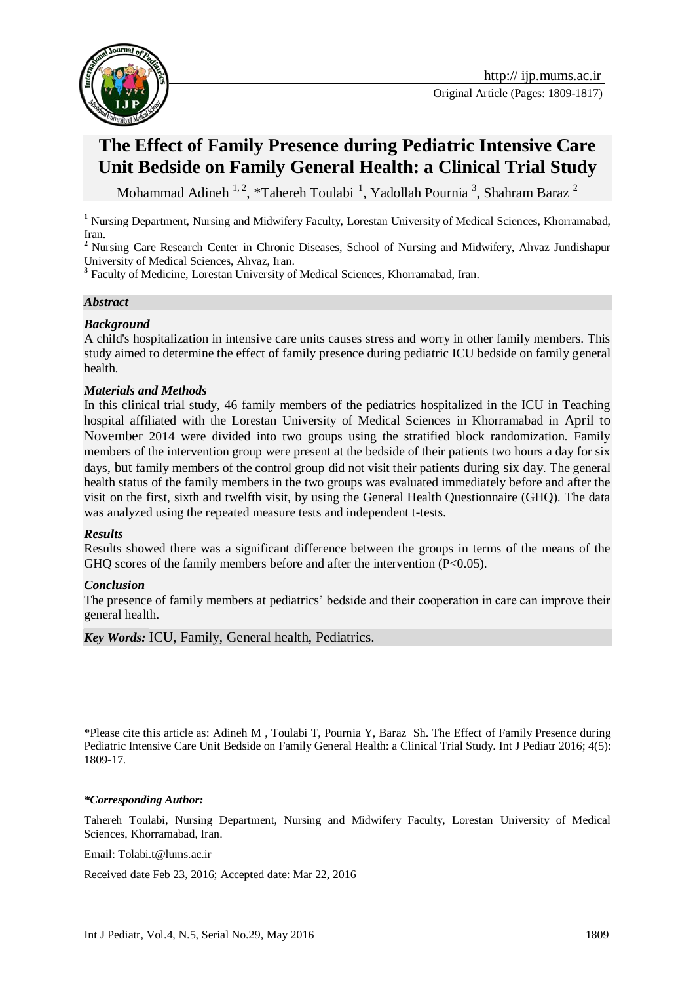

**The Effect of Family Presence during Pediatric Intensive Care** 

# **Unit Bedside on Family General Health: a Clinical Trial Study**

Mohammad Adineh <sup>1, 2</sup>, \*Tahereh Toulabi<sup>1</sup>, Yadollah Pournia<sup>3</sup>, Shahram Baraz<sup>2</sup>

<sup>1</sup> Nursing Department, Nursing and Midwifery Faculty, Lorestan University of Medical Sciences, Khorramabad, Iran.

<sup>2</sup> Nursing Care Research Center in Chronic Diseases, School of Nursing and Midwifery, Ahvaz Jundishapur University of Medical Sciences, Ahvaz, Iran.

<sup>3</sup> Faculty of Medicine, Lorestan University of Medical Sciences, Khorramabad, Iran.

#### *Abstract*

#### *Background*

A child's hospitalization in intensive care units causes stress and worry in other family members. This study aimed to determine the effect of family presence during pediatric ICU bedside on family general health.

#### *Materials and Methods*

In this clinical trial study, 46 family members of the pediatrics hospitalized in the ICU in Teaching hospital affiliated with the Lorestan University of Medical Sciences in Khorramabad in April to November 2014 were divided into two groups using the stratified block randomization. Family members of the intervention group were present at the bedside of their patients two hours a day for six days, but family members of the control group did not visit their patients during six day. The general health status of the family members in the two groups was evaluated immediately before and after the visit on the first, sixth and twelfth visit, by using the General Health Questionnaire (GHQ). The data was analyzed using the repeated measure tests and independent t-tests.

#### *Results*

Results showed there was a significant difference between the groups in terms of the means of the GHQ scores of the family members before and after the intervention  $(P<0.05)$ .

#### *Conclusion*

The presence of family members at pediatrics' bedside and their cooperation in care can improve their general health.

*Key Words:* ICU, Family, General health, Pediatrics.

\*Please cite this article as: Adineh M , Toulabi T, Pournia Y, Baraz Sh. The Effect of Family Presence during Pediatric Intensive Care Unit Bedside on Family General Health: a Clinical Trial Study. Int J Pediatr 2016; 4(5): 1809-17.

#### *\*Corresponding Author:*

<u>.</u>

Tahereh Toulabi, Nursing Department, Nursing and Midwifery Faculty, Lorestan University of Medical Sciences, Khorramabad, Iran.

Email: Tolabi.t@lums.ac.ir

Received date Feb 23, 2016; Accepted date: Mar 22, 2016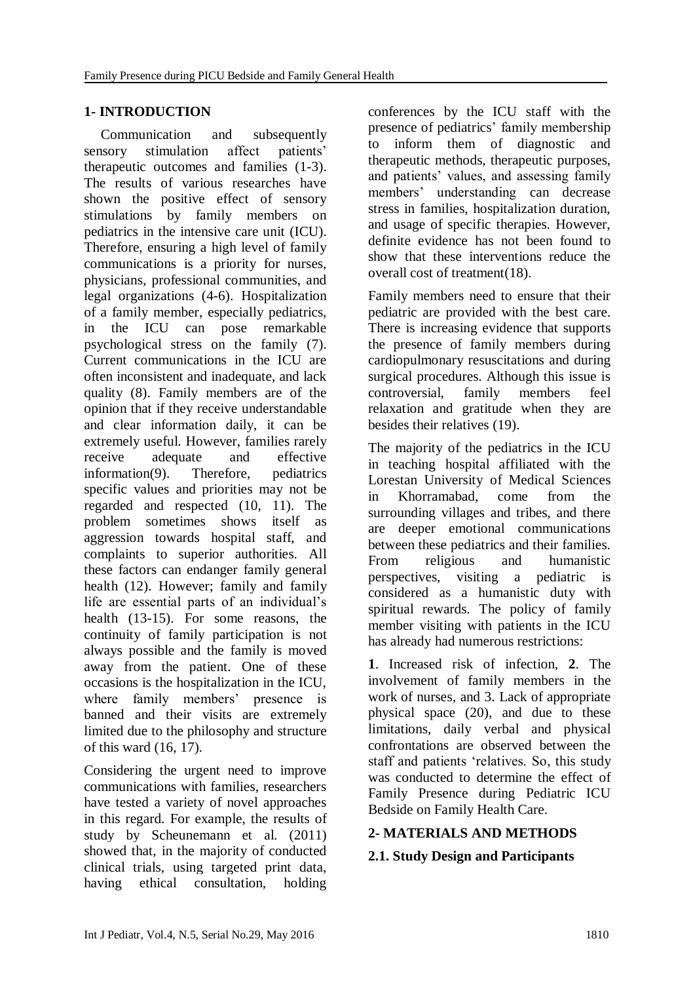# **1- INTRODUCTION**

Communication and subsequently sensory stimulation affect patients' therapeutic outcomes and families [\(1-3\)](#page-7-0). The results of various researches have shown the positive effect of sensory stimulations by family members on pediatrics in the intensive care unit (ICU). Therefore, ensuring a high level of family communications is a priority for nurses, physicians, professional communities, and legal organizations [\(4-6\)](#page-7-1). Hospitalization of a family member, especially pediatrics, in the ICU can pose remarkable psychological stress on the family [\(7\)](#page-7-2). Current communications in the ICU are often inconsistent and inadequate, and lack quality [\(8\)](#page-8-0). Family members are of the opinion that if they receive understandable and clear information daily, it can be extremely useful. However, families rarely receive adequate and effective information[\(9\)](#page-8-1). Therefore, pediatrics specific values and priorities may not be regarded and respected [\(10,](#page-8-2) [11\)](#page-8-3). The problem sometimes shows itself as aggression towards hospital staff, and complaints to superior authorities. All these factors can endanger family general health [\(12\)](#page-8-4). However; family and family life are essential parts of an individual's health [\(13-15\)](#page-8-5). For some reasons, the continuity of family participation is not always possible and the family is moved away from the patient. One of these occasions is the hospitalization in the ICU, where family members' presence is banned and their visits are extremely limited due to the philosophy and structure of this ward [\(16,](#page-8-6) [17\)](#page-8-7).

Considering the urgent need to improve communications with families, researchers have tested a variety of novel approaches in this regard. For example, the results of study by Scheunemann et al. (2011) showed that, in the majority of conducted clinical trials, using targeted print data, having ethical consultation, holding conferences by the ICU staff with the presence of pediatrics' family membership to inform them of diagnostic and therapeutic methods, therapeutic purposes, and patients' values, and assessing family members' understanding can decrease stress in families, hospitalization duration, and usage of specific therapies. However, definite evidence has not been found to show that these interventions reduce the overall cost of treatment[\(18\)](#page-8-8).

Family members need to ensure that their pediatric are provided with the best care. There is increasing evidence that supports the presence of family members during cardiopulmonary resuscitations and during surgical procedures. Although this issue is controversial, family members feel relaxation and gratitude when they are besides their relatives [\(19\)](#page-8-9).

The majority of the pediatrics in the ICU in teaching hospital affiliated with the Lorestan University of Medical Sciences in Khorramabad, come from the surrounding villages and tribes, and there are deeper emotional communications between these pediatrics and their families. From religious and humanistic perspectives, visiting a pediatric is considered as a humanistic duty with spiritual rewards. The policy of family member visiting with patients in the ICU has already had numerous restrictions:

**1**. Increased risk of infection, **2**. The involvement of family members in the work of nurses, and 3. Lack of appropriate physical space [\(20\)](#page-8-10), and due to these limitations, daily verbal and physical confrontations are observed between the staff and patients 'relatives. So, this study was conducted to determine the effect of Family Presence during Pediatric ICU Bedside on Family Health Care.

# **2- MATERIALS AND METHODS**

## **2.1. Study Design and Participants**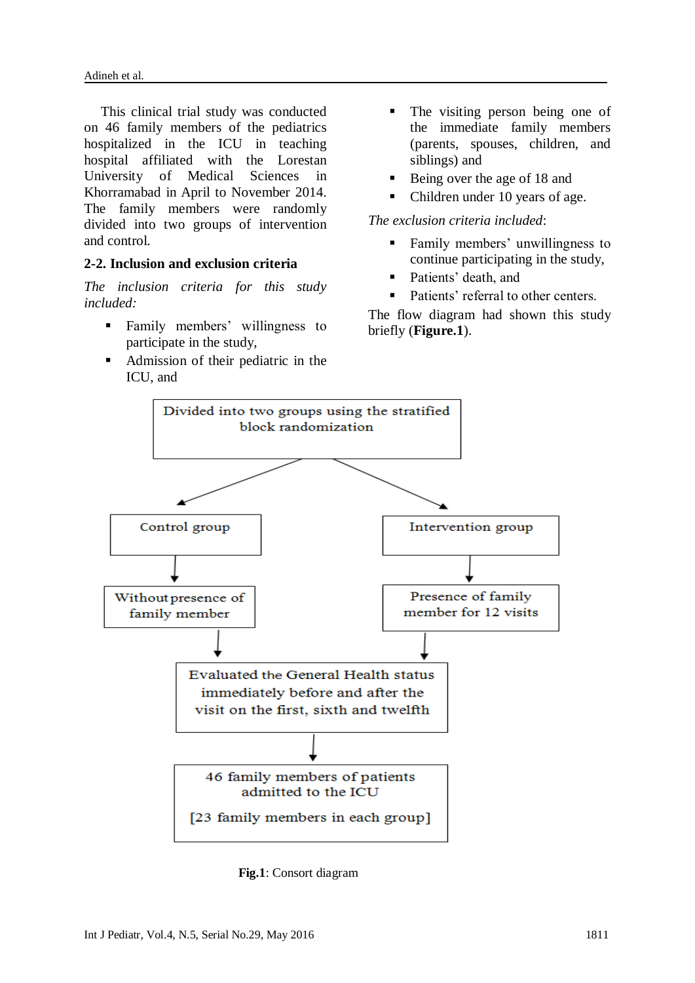This clinical trial study was conducted on 46 family members of the pediatrics hospitalized in the ICU in teaching hospital affiliated with the Lorestan University of Medical Sciences in Khorramabad in April to November 2014. The family members were randomly divided into two groups of intervention and control.

#### **2-2. Inclusion and exclusion criteria**

*The inclusion criteria for this study included:*

- **Family members' willingness to** participate in the study,
- Admission of their pediatric in the ICU, and
- The visiting person being one of the immediate family members (parents, spouses, children, and siblings) and
- Being over the age of 18 and
- Children under 10 years of age.

#### *The exclusion criteria included*:

- Family members' unwillingness to continue participating in the study,
- Patients' death, and
- Patients' referral to other centers.

The flow diagram had shown this study briefly (**Figure.1**).



 **Fig.1**: Consort diagram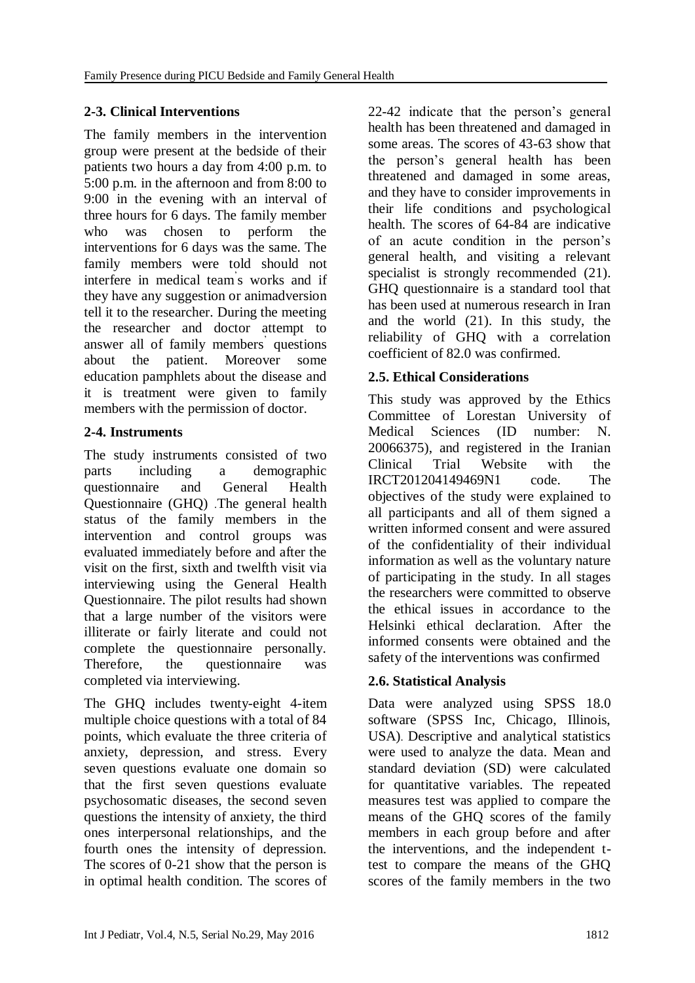# **2-3. Clinical Interventions**

The family members in the intervention group were present at the bedside of their patients two hours a day from 4:00 p.m. to 5:00 p.m. in the afternoon and from 8:00 to 9:00 in the evening with an interval of three hours for 6 days. The family member who was chosen to perform the interventions for 6 days was the same. The family members were told should not interfere in medical team' s works and if they have any suggestion or animadversion tell it to the researcher. During the meeting the researcher and doctor attempt to answer all of family members' questions about the patient. Moreover some education pamphlets about the disease and it is treatment were given to family members with the permission of doctor.

## **2-4. Instruments**

The study instruments consisted of two parts including a demographic questionnaire and General Health Questionnaire (GHQ) .The general health status of the family members in the intervention and control groups was evaluated immediately before and after the visit on the first, sixth and twelfth visit via interviewing using the General Health Questionnaire. The pilot results had shown that a large number of the visitors were illiterate or fairly literate and could not complete the questionnaire personally. Therefore, the questionnaire was completed via interviewing.

The GHQ includes twenty-eight 4-item multiple choice questions with a total of 84 points, which evaluate the three criteria of anxiety, depression, and stress. Every seven questions evaluate one domain so that the first seven questions evaluate psychosomatic diseases, the second seven questions the intensity of anxiety, the third ones interpersonal relationships, and the fourth ones the intensity of depression. The scores of 0-21 show that the person is in optimal health condition. The scores of 22-42 indicate that the person's general health has been threatened and damaged in some areas. The scores of 43-63 show that the person's general health has been threatened and damaged in some areas, and they have to consider improvements in their life conditions and psychological health. The scores of 64-84 are indicative of an acute condition in the person's general health, and visiting a relevant specialist is strongly recommended  $(21)$ . GHQ questionnaire is a standard tool that has been used at numerous research in Iran and the world [\(21\)](#page-8-11). In this study, the reliability of GHQ with a correlation coefficient of 82.0 was confirmed.

## **2.5. Ethical Considerations**

This study was approved by the Ethics Committee of Lorestan University of Medical Sciences (ID number: N. 20066375), and registered in the Iranian Clinical Trial Website with the IRCT201204149469N1 code. The objectives of the study were explained to all participants and all of them signed a written informed consent and were assured of the confidentiality of their individual information as well as the voluntary nature of participating in the study. In all stages the researchers were committed to observe the ethical issues in accordance to the Helsinki ethical declaration. After the informed consents were obtained and the safety of the interventions was confirmed

# **2.6. Statistical Analysis**

Data were analyzed using SPSS 18.0 software (SPSS Inc, Chicago, Illinois, USA). Descriptive and analytical statistics were used to analyze the data. Mean and standard deviation (SD) were calculated for quantitative variables. The repeated measures test was applied to compare the means of the GHQ scores of the family members in each group before and after the interventions, and the independent ttest to compare the means of the GHQ scores of the family members in the two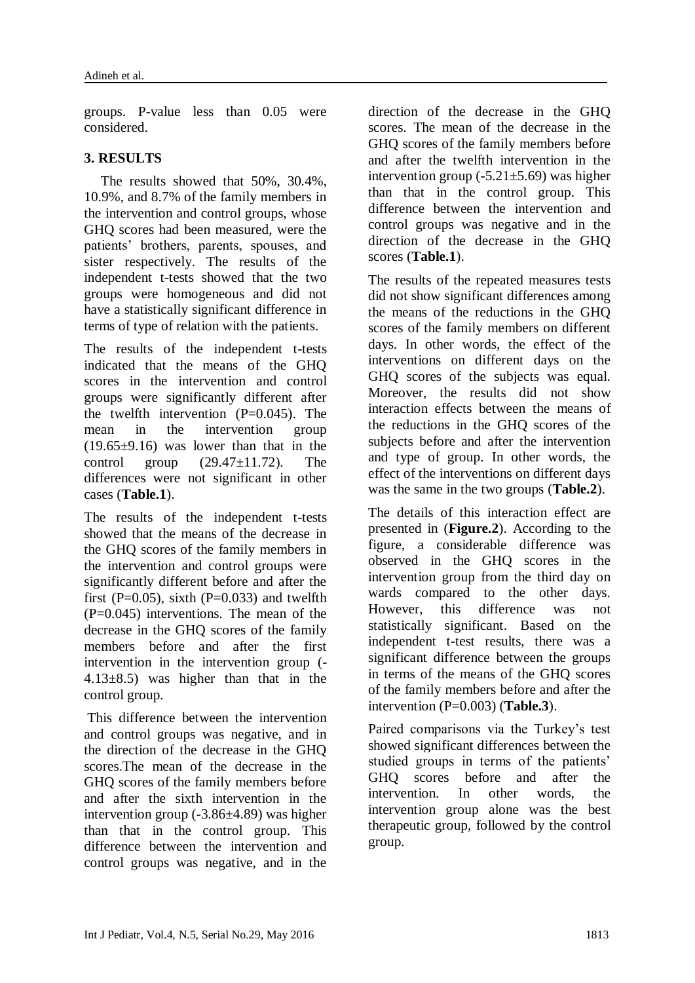groups. P-value less than 0.05 were considered.

# **3. RESULTS**

The results showed that 50%, 30.4%, 10.9%, and 8.7% of the family members in the intervention and control groups, whose GHQ scores had been measured, were the patients' brothers, parents, spouses, and sister respectively. The results of the independent t-tests showed that the two groups were homogeneous and did not have a statistically significant difference in terms of type of relation with the patients.

The results of the independent t-tests indicated that the means of the GHQ scores in the intervention and control groups were significantly different after the twelfth intervention  $(P=0.045)$ . The mean in the intervention group  $(19.65\pm9.16)$  was lower than that in the control group  $(29.47\pm11.72)$ . The differences were not significant in other cases (**Table.1**).

The results of the independent t-tests showed that the means of the decrease in the GHQ scores of the family members in the intervention and control groups were significantly different before and after the first (P=0.05), sixth (P=0.033) and twelfth (P=0.045) interventions. The mean of the decrease in the GHQ scores of the family members before and after the first intervention in the intervention group (- 4.13 $\pm$ 8.5) was higher than that in the control group.

This difference between the intervention and control groups was negative, and in the direction of the decrease in the GHQ scores.The mean of the decrease in the GHQ scores of the family members before and after the sixth intervention in the intervention group (-3.86±4.89) was higher than that in the control group. This difference between the intervention and control groups was negative, and in the

direction of the decrease in the GHQ scores. The mean of the decrease in the GHQ scores of the family members before and after the twelfth intervention in the intervention group  $(-5.21 \pm 5.69)$  was higher than that in the control group. This difference between the intervention and control groups was negative and in the direction of the decrease in the GHQ scores (**Table.1**).

The results of the repeated measures tests did not show significant differences among the means of the reductions in the GHQ scores of the family members on different days. In other words, the effect of the interventions on different days on the GHQ scores of the subjects was equal. Moreover, the results did not show interaction effects between the means of the reductions in the GHQ scores of the subjects before and after the intervention and type of group. In other words, the effect of the interventions on different days was the same in the two groups (**Table.2**).

The details of this interaction effect are presented in (**Figure.2**). According to the figure, a considerable difference was observed in the GHQ scores in the intervention group from the third day on wards compared to the other days. However, this difference was not statistically significant. Based on the independent t-test results, there was a significant difference between the groups in terms of the means of the GHQ scores of the family members before and after the intervention (P=0.003) (**Table.3**).

Paired comparisons via the Turkey's test showed significant differences between the studied groups in terms of the patients' GHQ scores before and after the intervention. In other words, the intervention group alone was the best therapeutic group, followed by the control group.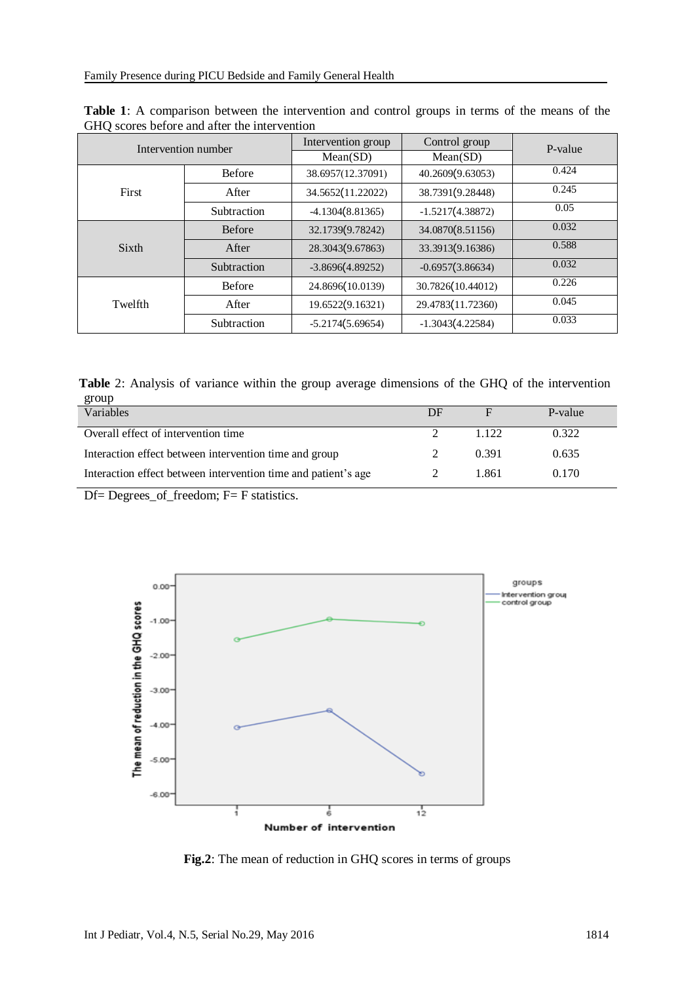| Intervention number |               | Intervention group | Control group      | P-value |  |
|---------------------|---------------|--------------------|--------------------|---------|--|
|                     |               | Mean(SD)           | Mean(SD)           |         |  |
| First               | <b>Before</b> | 38.6957(12.37091)  | 40.2609(9.63053)   | 0.424   |  |
|                     | After         | 34.5652(11.22022)  | 38.7391(9.28448)   | 0.245   |  |
|                     | Subtraction   | $-4.1304(8.81365)$ | $-1.5217(4.38872)$ | 0.05    |  |
| Sixth               | <b>Before</b> | 32.1739(9.78242)   | 34.0870(8.51156)   | 0.032   |  |
|                     | After         | 28.3043(9.67863)   | 33.3913(9.16386)   | 0.588   |  |
|                     | Subtraction   | $-3.8696(4.89252)$ | $-0.6957(3.86634)$ | 0.032   |  |
| Twelfth             | <b>Before</b> | 24.8696(10.0139)   | 30.7826(10.44012)  | 0.226   |  |
|                     | After         | 19.6522(9.16321)   | 29.4783(11.72360)  | 0.045   |  |
|                     | Subtraction   | $-5.2174(5.69654)$ | $-1.3043(4.22584)$ | 0.033   |  |

**Table 1**: A comparison between the intervention and control groups in terms of the means of the GHQ scores before and after the intervention

**Table** 2: Analysis of variance within the group average dimensions of the GHQ of the intervention group

| Variables                                                      | DE |         | P-value |
|----------------------------------------------------------------|----|---------|---------|
| Overall effect of intervention time                            |    | 1 1 2 2 | 0.322   |
| Interaction effect between intervention time and group         |    | 0.391   | 0.635   |
| Interaction effect between intervention time and patient's age |    | 1.861   | 0.170   |

Df= Degrees\_of\_freedom; F= [F statistics.](https://www.google.com/url?sa=t&rct=j&q=&esrc=s&source=web&cd=4&cad=rja&uact=8&ved=0ahUKEwit-8nT-7HMAhVJDJoKHXZJDq8QFgg5MAM&url=http%3A%2F%2Fwww.socr.ucla.edu%2Fapplets.dir%2Ff_table.html&usg=AFQjCNGB47CXr-pIfjjXW48mh8LUh9ACwg&sig2=afY5aat7Aig-p-koisYpxg)



**Fig.2**: The mean of reduction in GHQ scores in terms of groups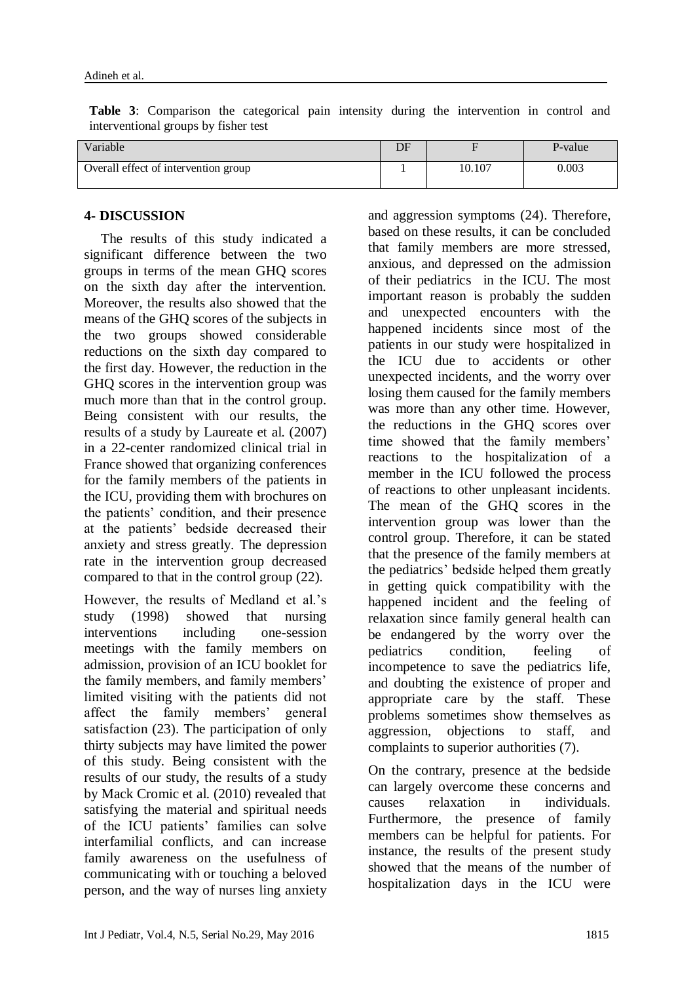**Table 3**: Comparison the categorical pain intensity during the intervention in control and interventional groups by fisher test

| Variable                             | DF |        | P-value |
|--------------------------------------|----|--------|---------|
| Overall effect of intervention group |    | 10.107 | 0.003   |

#### **4- DISCUSSION**

The results of this study indicated a significant difference between the two groups in terms of the mean GHQ scores on the sixth day after the intervention. Moreover, the results also showed that the means of the GHQ scores of the subjects in the two groups showed considerable reductions on the sixth day compared to the first day. However, the reduction in the GHQ scores in the intervention group was much more than that in the control group. Being consistent with our results, the results of a study by Laureate et al. (2007) in a 22-center randomized clinical trial in France showed that organizing conferences for the family members of the patients in the ICU, providing them with brochures on the patients' condition, and their presence at the patients' bedside decreased their anxiety and stress greatly. The depression rate in the intervention group decreased compared to that in the control group [\(22\)](#page-8-12).

However, the results of Medland et al.'s study (1998) showed that nursing interventions including one-session meetings with the family members on admission, provision of an ICU booklet for the family members, and family members' limited visiting with the patients did not affect the family members' general satisfaction [\(23\)](#page-8-13). The participation of only thirty subjects may have limited the power of this study. Being consistent with the results of our study, the results of a study by Mack Cromic et al. (2010) revealed that satisfying the material and spiritual needs of the ICU patients' families can solve interfamilial conflicts, and can increase family awareness on the usefulness of communicating with or touching a beloved person, and the way of nurses ling anxiety

and aggression symptoms [\(24\)](#page-8-14). Therefore, based on these results, it can be concluded that family members are more stressed, anxious, and depressed on the admission of their pediatrics in the ICU. The most important reason is probably the sudden and unexpected encounters with the happened incidents since most of the patients in our study were hospitalized in the ICU due to accidents or other unexpected incidents, and the worry over losing them caused for the family members was more than any other time. However, the reductions in the GHQ scores over time showed that the family members' reactions to the hospitalization of a member in the ICU followed the process of reactions to other unpleasant incidents. The mean of the GHQ scores in the intervention group was lower than the control group. Therefore, it can be stated that the presence of the family members at the pediatrics' bedside helped them greatly in getting quick compatibility with the happened incident and the feeling of relaxation since family general health can be endangered by the worry over the pediatrics condition, feeling of incompetence to save the pediatrics life, and doubting the existence of proper and appropriate care by the staff. These problems sometimes show themselves as aggression, objections to staff, and complaints to superior authorities [\(7\)](#page-7-2).

On the contrary, presence at the bedside can largely overcome these concerns and causes relaxation in individuals. Furthermore, the presence of family members can be helpful for patients. For instance, the results of the present study showed that the means of the number of hospitalization days in the ICU were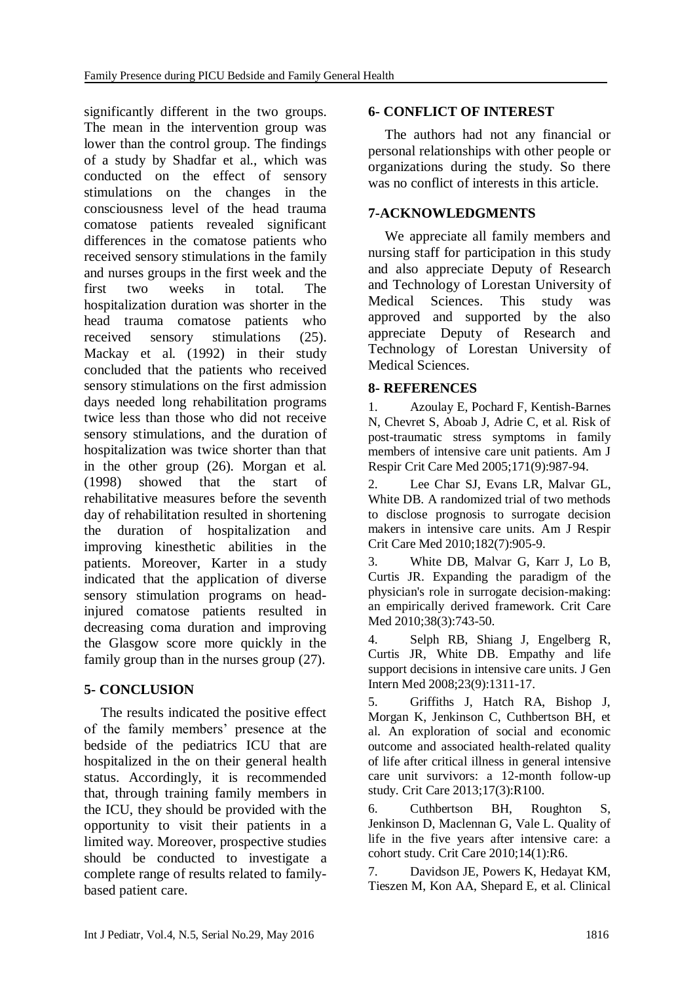significantly different in the two groups. The mean in the intervention group was lower than the control group. The findings of a study by Shadfar et al., which was conducted on the effect of sensory stimulations on the changes in the consciousness level of the head trauma comatose patients revealed significant differences in the comatose patients who received sensory stimulations in the family and nurses groups in the first week and the first two weeks in total. The hospitalization duration was shorter in the head trauma comatose patients who received sensory stimulations [\(25\)](#page-8-15). Mackay et al. (1992) in their study concluded that the patients who received sensory stimulations on the first admission days needed long rehabilitation programs twice less than those who did not receive sensory stimulations, and the duration of hospitalization was twice shorter than that in the other group [\(26\)](#page-8-16). Morgan et al. (1998) showed that the start of rehabilitative measures before the seventh day of rehabilitation resulted in shortening the duration of hospitalization and improving kinesthetic abilities in the patients. Moreover, Karter in a study indicated that the application of diverse sensory stimulation programs on headinjured comatose patients resulted in decreasing coma duration and improving the Glasgow score more quickly in the family group than in the nurses group [\(27\)](#page-8-17).

## **5- CONCLUSION**

The results indicated the positive effect of the family members' presence at the bedside of the pediatrics ICU that are hospitalized in the on their general health status. Accordingly, it is recommended that, through training family members in the ICU, they should be provided with the opportunity to visit their patients in a limited way. Moreover, prospective studies should be conducted to investigate a complete range of results related to familybased patient care.

# **6- CONFLICT OF INTEREST**

The authors had not any financial or personal relationships with other people or organizations during the study. So there was no conflict of interests in this article.

## **7-ACKNOWLEDGMENTS**

We appreciate all family members and nursing staff for participation in this study and also appreciate Deputy of Research and Technology of Lorestan University of Medical Sciences. This study was approved and supported by the also appreciate Deputy of Research and Technology of Lorestan University of Medical Sciences.

## **8- REFERENCES**

<span id="page-7-0"></span>1. Azoulay E, Pochard F, Kentish-Barnes N, Chevret S, Aboab J, Adrie C, et al. Risk of post-traumatic stress symptoms in family members of intensive care unit patients. Am J Respir Crit Care Med 2005;171(9):987-94.

Lee Char SJ, Evans LR, Malvar GL, White DB. A randomized trial of two methods to disclose prognosis to surrogate decision makers in intensive care units. Am J Respir Crit Care Med 2010;182(7):905-9.

3. White DB, Malvar G, Karr J, Lo B, Curtis JR. Expanding the paradigm of the physician's role in surrogate decision-making: an empirically derived framework. Crit Care Med 2010:38(3):743-50.

<span id="page-7-1"></span>4. Selph RB, Shiang J, Engelberg R, Curtis JR, White DB. Empathy and life support decisions in intensive care units. J Gen Intern Med 2008;23(9):1311-17.

5. Griffiths J, Hatch RA, Bishop J, Morgan K, Jenkinson C, Cuthbertson BH, et al. An exploration of social and economic outcome and associated health-related quality of life after critical illness in general intensive care unit survivors: a 12-month follow-up study. Crit Care 2013;17(3):R100.

6. Cuthbertson BH, Roughton Jenkinson D, Maclennan G, Vale L. Quality of life in the five years after intensive care: a cohort study. Crit Care 2010;14(1):R6.

<span id="page-7-2"></span>7. Davidson JE, Powers K, Hedayat KM, Tieszen M, Kon AA, Shepard E, et al. Clinical